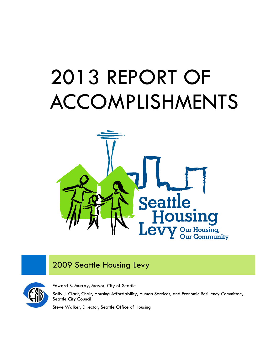# 2013 REPORT OF ACCOMPLISHMENTS



# 2009 Seattle Housing Levy



Edward B. Murray, Mayor, City of Seattle

Sally J. Clark, Chair, Housing Affordability, Human Services, and Economic Resiliency Committee, Seattle City Council

Steve Walker, Director, Seattle Office of Housing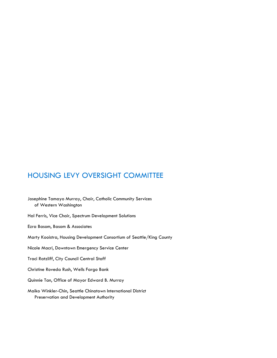# HOUSING LEVY OVERSIGHT COMMITTEE

Josephine Tamayo Murray, Chair, Catholic Community Services of Western Washington

Hal Ferris, Vice Chair, Spectrum Development Solutions

Ezra Basom, Basom & Associates

Marty Kooistra, Housing Development Consortium of Seattle/King County

Nicole Macri, Downtown Emergency Service Center

Traci Ratzliff, City Council Central Staff

Christine Roveda Rush, Wells Fargo Bank

Quinnie Tan, Office of Mayor Edward B. Murray

Maiko Winkler-Chin, Seattle Chinatown International District Preservation and Development Authority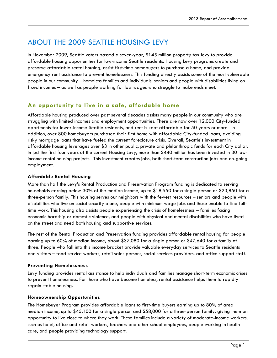# ABOUT THE 2009 SEATTLE HOUSING LEVY

In November 2009, Seattle voters passed a seven-year, \$145 million property tax levy to provide affordable housing opportunities for low-income Seattle residents. Housing Levy programs create and preserve affordable rental housing, assist first-time homebuyers to purchase a home, and provide emergency rent assistance to prevent homelessness. This funding directly assists some of the most vulnerable people in our community – homeless families and individuals, seniors and people with disabilities living on fixed incomes – as well as people working for low wages who struggle to make ends meet.

## **An opportunity to live in a safe, affordable home**

Affordable housing produced over past several decades assists many people in our community who are struggling with limited incomes and employment opportunities. There are now over 12,000 City-funded apartments for lower-income Seattle residents, and rent is kept affordable for 50 years or more. In addition, over 800 homebuyers purchased their first home with affordable City-funded loans, avoiding risky mortgage loans that have fueled the current foreclosure crisis. Overall, Seattle's investment in affordable housing leverages over \$3 in other public, private and philanthropic funds for each City dollar. In just the first four years of the current Housing Levy, more than \$440 million has been invested in 30 lowincome rental housing projects. This investment creates jobs, both short-term construction jobs and on-going employment.

#### **Affordable Rental Housing**

More than half the Levy's Rental Production and Preservation Program funding is dedicated to serving households earning below 30% of the median income, up to \$18,550 for a single person or \$23,850 for a three-person family. This housing serves our neighbors with the fewest resources – seniors and people with disabilities who live on social security alone, people with minimum wage jobs and those unable to find fulltime work. This housing also assists people experiencing the crisis of homelessness – families facing economic hardship or domestic violence, and people with physical and mental disabilities who have lived on the street and need both housing and supportive services.

The rest of the Rental Production and Preservation funding provides affordable rental housing for people earning up to 60% of median income, about \$37,080 for a single person or \$47,640 for a family of three. People who fall into this income bracket provide valuable everyday services to Seattle residents and visitors – food service workers, retail sales persons, social services providers, and office support staff.

#### **Preventing Homelessness**

Levy funding provides rental assistance to help individuals and families manage short-term economic crises to prevent homelessness. For those who have become homeless, rental assistance helps them to rapidly regain stable housing.

#### **Homeownership Opportunities**

The Homebuyer Program provides affordable loans to first-time buyers earning up to 80% of area median income, up to \$45,100 for a single person and \$58,000 for a three-person family, giving them an opportunity to live close to where they work. These families include a variety of moderate-income workers, such as hotel, office and retail workers, teachers and other school employees, people working in health care, and people providing technology support.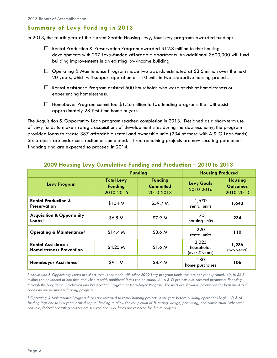## **Summary of Levy Funding in 2013**

In 2013, the fourth year of the current Seattle Housing Levy, four Levy programs awarded funding:

- $\Box$  Rental Production & Preservation Program awarded \$12.8 million to five housing developments with 297 Levy-funded affordable apartments. An additional \$600,000 will fund building improvements in an existing low-income building.
- $\Box$  Operating & Maintenance Program made two awards estimated at \$3.6 million over the next 20 years, which will support operation of 110 units in two supportive housing projects.
- $\Box$  Rental Assistance Program assisted 600 households who were at risk of homelessness or experiencing homelessness.
- $\Box$  Homebuyer Program committed \$1.46 million to two lending programs that will assist approximately 28 first-time home buyers.

The Acquisition & Opportunity Loan program reached completion in 2013. Designed as a short-term use of Levy funds to make strategic acquisitions of development sites during the slow economy, the program provided loans to create 387 affordable rental and ownership units (234 of these with A & O Loan funds). Six projects are under construction or completed. Three remaining projects are now securing permanent financing and are expected to proceed in 2014.

|                                                             | <b>Funding</b>                                   |                                                 | <b>Housing Produced</b>               |                                                |
|-------------------------------------------------------------|--------------------------------------------------|-------------------------------------------------|---------------------------------------|------------------------------------------------|
| <b>Levy Program</b>                                         | <b>Total Levy</b><br><b>Funding</b><br>2010-2016 | <b>Funding</b><br><b>Committed</b><br>2010-2013 | <b>Levy Goals</b><br>2010-2016        | <b>Housing</b><br><b>Outcomes</b><br>2010-2013 |
| <b>Rental Production &amp;</b><br><b>Preservation</b>       | \$104 M                                          | \$59.7 <sub>M</sub>                             | 1,670<br>rental units                 | 1,643                                          |
| <b>Acquisition &amp; Opportunity</b><br>Loans <sup>1</sup>  | \$6.5 <sub>M</sub>                               | \$7.9 <sub>M</sub>                              | 175<br>housing units                  | 234                                            |
| <b>Operating &amp; Maintenance</b> <sup>2</sup>             | \$14.4 M                                         | \$3.6 <sub>M</sub>                              | 220<br>rental units                   | 110                                            |
| <b>Rental Assistance/</b><br><b>Homelessness Prevention</b> | \$4.25 M                                         | \$1.6 <sub>M</sub>                              | 3,025<br>households<br>(over 5 years) | 1,286<br>(two years)                           |
| <b>Homebuyer Assistance</b>                                 | \$9.1 <sub>M</sub>                               | \$4.7 <sub>M</sub>                              | 180<br>home purchases                 | 106                                            |

#### **2009 Housing Levy Cumulative Funding and Production – 2010 to 2013**

*<sup>1</sup> Acquisition & Opportunity Loans are short-term loans made with other 2009 Levy program funds that are not yet expended. Up to \$6.5 million can be loaned at one time and when repaid, additional loans can be made. All A & O projects also received permanent financing through the Levy Rental Production and Preservation Program or Homebuyer Program. The units are shown as production for both the A & O Loan and the permanent funding program.*

*<sup>2</sup> Operating & Maintenance Program funds are awarded to rental housing projects in the year before building operations begin. O & M funding lags one to two years behind capital funding to allow for completion of financing, design, permitting, and construction. Whenever possible, federal operating sources are secured and Levy funds are reserved for future projects.*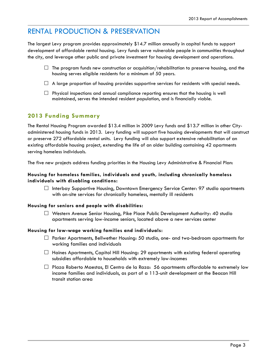# RENTAL PRODUCTION & PRESERVATION

The largest Levy program provides approximately \$14.7 million annually in capital funds to support development of affordable rental housing. Levy funds serve vulnerable people in communities throughout the city, and leverage other public and private investment for housing development and operations.

- $\Box$  The program funds new construction or acquisition/rehabilitation to preserve housing, and the housing serves eligible residents for a minimum of 50 years.
- $\Box$  A large proportion of housing provides supportive services for residents with special needs.
- $\Box$  Physical inspections and annual compliance reporting ensures that the housing is well maintained, serves the intended resident population, and is financially viable.

## **2013 Funding Summary**

The Rental Housing Program awarded \$13.4 million in 2009 Levy funds and \$13.7 million in other Cityadministered housing funds in 2013. Levy funding will support five housing developments that will construct or preserve 272 affordable rental units. Levy funding will also support extensive rehabilitation of an existing affordable housing project, extending the life of an older building containing 42 apartments serving homeless individuals.

The five new projects address funding priorities in the Housing Levy Administrative & Financial Plan:

#### **Housing for homeless families, individuals and youth, including chronically homeless individuals with disabling conditions:**

 $\Box$  Interbay Supportive Housing, Downtown Emergency Service Center: 97 studio apartments with on-site services for chronically homeless, mentally ill residents

#### **Housing for seniors and people with disabilities:**

 $\Box$  Western Avenue Senior Housing, Pike Place Public Development Authority: 40 studio apartments serving low-income seniors, located above a new services center

#### **Housing for low-wage working families and individuals:**

- $\Box$  Parker Apartments, Bellwether Housing: 50 studio, one- and two-bedroom apartments for working families and individuals
- $\Box$  Haines Apartments, Capitol Hill Housing: 29 apartments with existing federal operating subsidies affordable to households with extremely low-incomes
- $\Box$  Plaza Roberto Maestas, El Centro de la Raza: 56 apartments affordable to extremely low income families and individuals, as part of a 113-unit development at the Beacon Hill transit station area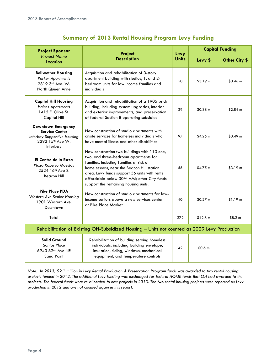| <b>Project Sponsor</b>                                                                                                   | <b>Project</b>                                                                                                                                                                                                                                                                                                       | Levy | <b>Capital Funding</b> |                     |
|--------------------------------------------------------------------------------------------------------------------------|----------------------------------------------------------------------------------------------------------------------------------------------------------------------------------------------------------------------------------------------------------------------------------------------------------------------|------|------------------------|---------------------|
| <b>Project Name</b><br>Location                                                                                          | <b>Description</b>                                                                                                                                                                                                                                                                                                   |      | Levy \$                | Other City \$       |
| <b>Bellwether Housing</b><br><b>Parker Apartments</b><br>2819 3rd Ave. W.<br>North Queen Anne                            | Acquisition and rehabilitation of 3-story<br>apartment building with studios, 1, and 2-<br>bedroom units for low income families and<br>individuals                                                                                                                                                                  | 50   | \$3.19 m               | \$0.46 m            |
| <b>Capitol Hill Housing</b><br><b>Haines Apartments</b><br>1415 E. Olive St.<br>Capitol Hill                             | Acquisition and rehabilitation of a 1905 brick<br>building, including system upgrades, interior<br>and exterior improvements, and preservation<br>of federal Section 8 operating subsidies                                                                                                                           | 29   | $$0.38 \; m$           | \$2.84 m            |
| <b>Downtown Emergency</b><br><b>Service Center</b><br><b>Interbay Supportive Housing</b><br>2292 15th Ave W.<br>Interbay | New construction of studio apartments with<br>onsite services for homeless individuals who<br>have mental illness and other disabilities                                                                                                                                                                             | 97   | \$4.25 m               | \$0.49 <sub>m</sub> |
| El Centro de la Raza<br>Plaza Roberto Maestas<br>2524 16 <sup>th</sup> Ave S.<br><b>Beacon Hill</b>                      | New construction two buildings with 113 one,<br>two, and three-bedroom apartments for<br>families, including families at risk of<br>homelessness, near the Beacon Hill station<br>area. Levy funds support 56 units with rents<br>affordable below 30% AMI; other City funds<br>support the remaining housing units. | 56   | \$4.75 m               | \$3.19 m            |
| <b>Pike Place PDA</b><br>Western Ave Senior Housing<br>1901 Western Ave.<br>Downtown                                     | New construction of studio apartments for low-<br>income seniors above a new services center<br>at Pike Place Market                                                                                                                                                                                                 | 40   | \$0.27 m               | \$1.19 m            |
| Total                                                                                                                    |                                                                                                                                                                                                                                                                                                                      | 272  | \$12.8 m               | \$8.2 m             |
| Rehabilitation of Existing OH-Subsidized Housing - Units not counted as 2009 Levy Production                             |                                                                                                                                                                                                                                                                                                                      |      |                        |                     |
| <b>Solid Ground</b><br><b>Santos Place</b><br>6940 62 <sup>nd</sup> Ave NE<br><b>Sand Point</b>                          | Rehabilitation of building serving homeless<br>individuals, including building envelope,<br>insulation, siding, windows, mechanical<br>equipment, and temperature controls                                                                                                                                           | 42   | \$0.6 <sub>m</sub>     |                     |

## **Summary of 2013 Rental Housing Program Levy Funding**

*Note: In 2013, \$2.1 million in Levy Rental Production & Preservation Program funds was awarded to two rental housing projects funded in 2012. The additional Levy funding was exchanged for federal HOME funds that OH had awarded to the projects. The federal funds were re-allocated to new projects in 2013. The two rental housing projects were reported as Levy production in 2012 and are not counted again in this report.*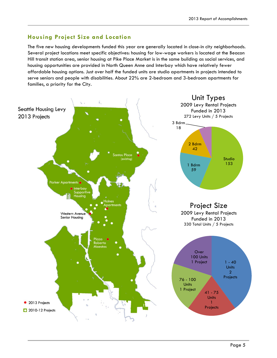# **Housing Project Size and Location**

The five new housing developments funded this year are generally located in close-in city neighborhoods. Several project locations meet specific objectives: housing for low-wage workers is located at the Beacon Hill transit station area, senior housing at Pike Place Market is in the same building as social services, and housing opportunities are provided in North Queen Anne and Interbay which have relatively fewer affordable housing options. Just over half the funded units are studio apartments in projects intended to serve seniors and people with disabilities. About 22% are 2-bedroom and 3-bedroom apartments for families, a priority for the City.

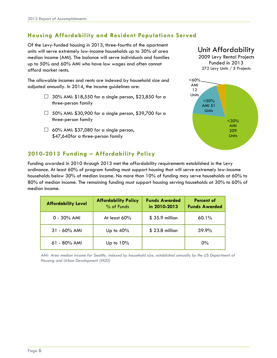# **Housing Affordability and Resident Populations Served**

Of the Levy-funded housing in 2013, three-fourths of the apartment units will serve extremely low-income households up to 30% of area median income (AMI). The balance will serve individuals and families up to 50% and 60% AMI who have low wages and often cannot afford market rents.

The allowable incomes and rents are indexed by household size and adjusted annually. In 2014, the income guidelines are:

- $\Box$  30% AMI: \$18,550 for a single person, \$23,850 for a three-person family
- $\Box$  50% AMI: \$30,900 for a single person, \$39,700 for a three-person family
- $\Box$  60% AMI: \$37,080 for a single person, \$47,640for a three-person family

# Unit Affordability

2009 Levy Rental Projects Funded in 2013 272 Levy Units / 5 Projects



## **2010-2013 Funding – Affordability Policy**

Funding awarded in 2010 through 2013 met the affordability requirements established in the Levy ordinance. At least 60% of program funding must support housing that will serve extremely low-income households below 30% of median income. No more than 10% of funding may serve households at 60% to 80% of median income. The remaining funding must support housing serving households at 30% to 60% of median income.

| <b>Affordability Level</b> | <b>Affordability Policy</b><br>% of Funds | <b>Funds Awarded</b><br>in 2010-2013 | <b>Percent of</b><br><b>Funds Awarded</b> |
|----------------------------|-------------------------------------------|--------------------------------------|-------------------------------------------|
| $0 - 30\%$ AMI             | At least $60\%$                           | \$35.9 million                       | 60.1%                                     |
| $31 - 60\%$ AMI            | Up to 40%                                 | \$23.8 million                       | $39.9\%$                                  |
| 61 - 80% AMI               | Up to $10\%$                              |                                      | $0\%$                                     |

*AMI: Area median income for Seattle, indexed by household size, established annually by the US Department of Housing and Urban Development (HUD)*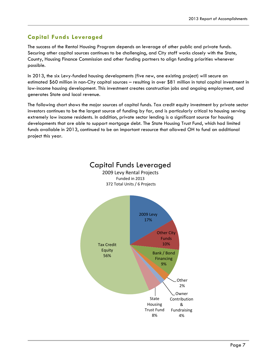# **Capital Funds Leveraged**

The success of the Rental Housing Program depends on leverage of other public and private funds. Securing other capital sources continues to be challenging, and City staff works closely with the State, County, Housing Finance Commission and other funding partners to align funding priorities whenever possible.

In 2013, the six Levy-funded housing developments (five new, one existing project) will secure an estimated \$60 million in non-City capital sources – resulting in over \$81 million in total capital investment in low-income housing development. This investment creates construction jobs and ongoing employment, and generates State and local revenue.

The following chart shows the major sources of capital funds. Tax credit equity investment by private sector investors continues to be the largest source of funding by far, and is particularly critical to housing serving extremely low income residents. In addition, private sector lending is a significant source for housing developments that are able to support mortgage debt. The State Housing Trust Fund, which had limited funds available in 2013, continued to be an important resource that allowed OH to fund an additional project this year.

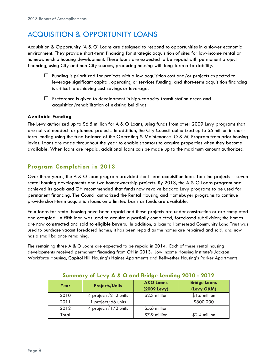# ACQUISITION & OPPORTUNITY LOANS

Acquisition & Opportunity (A & O) Loans are designed to respond to opportunities in a slower economic environment. They provide short-term financing for strategic acquisition of sites for low-income rental or homeownership housing development. These loans are expected to be repaid with permanent project financing, using City and non-City sources, producing housing with long-term affordability.

- $\Box$  Funding is prioritized for projects with a low acquisition cost and/or projects expected to leverage significant capital, operating or services funding, and short-term acquisition financing is critical to achieving cost savings or leverage.
- $\Box$  Preference is given to development in high-capacity transit station areas and acquisition/rehabilitation of existing buildings.

#### **Available Funding**

The Levy authorized up to \$6.5 million for A & O Loans, using funds from other 2009 Levy programs that are not yet needed for planned projects. In addition, the City Council authorized up to \$5 million in shortterm lending using the fund balance of the Operating & Maintenance (O & M) Program from prior housing levies. Loans are made throughout the year to enable sponsors to acquire properties when they become available. When loans are repaid, additional loans can be made up to the maximum amount authorized.

## **Program Completion in 2013**

Over three years, the A & O Loan program provided short-term acquisition loans for nine projects -- seven rental housing developments and two homeownership projects. By 2013, the A & O Loans program had achieved its goals and OH recommended that funds now revolve back to Levy programs to be used for permanent financing. The Council authorized the Rental Housing and Homebuyer programs to continue provide short-term acquisition loans on a limited basis as funds are available.

Four loans for rental housing have been repaid and these projects are under construction or are completed and occupied. A fifth loan was used to acquire a partially completed, foreclosed subdivision; the homes are now constructed and sold to eligible buyers. In addition, a loan to Homestead Community Land Trust was used to purchase vacant foreclosed homes; it has been repaid as the homes are repaired and sold, and now has a small balance remaining.

The remaining three A & O Loans are expected to be repaid in 2014. Each of these rental housing developments received permanent financing from OH in 2013: Low Income Housing Institute's Jackson Workforce Housing, Capitol Hill Housing's Haines Apartments and Bellwether Housing's Parker Apartments.

| Year  | <b>Projects/Units</b> | <b>A&amp;O Loans</b><br>(2009 Levy) | <b>Bridge Loans</b><br>(Levy O&M) |
|-------|-----------------------|-------------------------------------|-----------------------------------|
| 2010  | 4 projects/212 units  | \$2.3 million                       | \$1.6 million                     |
| 2011  | project/66 units      |                                     | \$800,000                         |
| 2012  | 4 projects/172 units  | \$5.6 million                       |                                   |
| Total |                       | \$7.9 million                       | \$2.4 million                     |

#### **Summary of Levy A & O and Bridge Lending 2010 - 2012**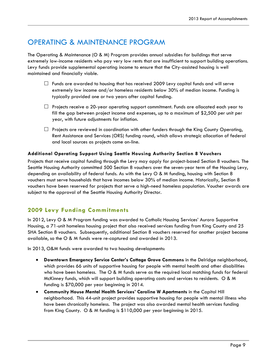# OPERATING & MAINTENANCE PROGRAM

The Operating & Maintenance (O & M) Program provides annual subsidies for buildings that serve extremely low-income residents who pay very low rents that are insufficient to support building operations. Levy funds provide supplemental operating income to ensure that the City-assisted housing is well maintained and financially viable.

- $\Box$  Funds are awarded to housing that has received 2009 Levy capital funds and will serve extremely low income and/or homeless residents below 30% of median income. Funding is typically provided one or two years after capital funding.
- $\Box$  Projects receive a 20-year operating support commitment. Funds are allocated each year to fill the gap between project income and expenses, up to a maximum of \$2,500 per unit per year, with future adjustments for inflation.
- $\Box$  Projects are reviewed in coordination with other funders through the King County Operating, Rent Assistance and Services (ORS) funding round, which allows strategic allocation of federal and local sources as projects come on-line.

#### **Additional Operating Support Using Seattle Housing Authority Section 8 Vouchers**

Projects that receive capital funding through the Levy may apply for project-based Section 8 vouchers. The Seattle Housing Authority committed 500 Section 8 vouchers over the seven-year term of the Housing Levy, depending on availability of federal funds. As with the Levy O & M funding, housing with Section 8 vouchers must serve households that have incomes below 30% of median income. Historically, Section 8 vouchers have been reserved for projects that serve a high-need homeless population. Voucher awards are subject to the approval of the Seattle Housing Authority Director.

## **2009 Levy Funding Commitments**

In 2012, Levy O & M Program funding was awarded to Catholic Housing Services' Aurora Supportive Housing, a 71-unit homeless housing project that also received services funding from King County and 25 SHA Section 8 vouchers. Subsequently, additional Section 8 vouchers reserved for another project became available, so the O & M funds were re-captured and awarded in 2013.

In 2013, O&M funds were awarded to two housing developments:

- **Downtown Emergency Service Center's Cottage Grove Commons** in the Delridge neighborhood, which provides 66 units of supportive housing for people with mental health and other disabilities who have been homeless. The O & M funds serve as the required local matching funds for federal McKinney funds, which will support building operating costs and services to residents. O & M funding is \$70,000 per year beginning in 2014.
- **Community House Mental Health Services' Caroline W Apartments** in the Capitol Hill neighborhood. This 44-unit project provides supportive housing for people with mental illness who have been chronically homeless. The project was also awarded mental health services funding from King County. O & M funding is \$110,000 per year beginning in 2015.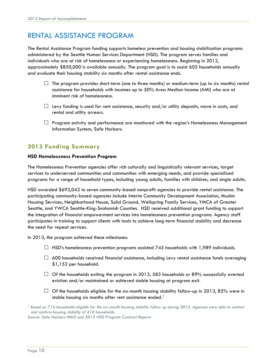# RENTAL ASSISTANCE PROGRAM

The Rental Assistance Program funding supports homeless prevention and housing stabilization programs administered by the Seattle Human Services Department (HSD). The program serves families and individuals who are at risk of homelessness or experiencing homelessness. Beginning in 2012, approximately \$850,000 is available annually. The program goal is to assist 605 households annually and evaluate their housing stability six months after rental assistance ends.

- $\Box$  The program provides short-term (one to three months) or medium-term (up to six months) rental assistance for households with incomes up to 50% Area Median Income (AMI) who are at imminent risk of homelessness.
- $\Box$  Levy funding is used for rent assistance, security and/or utility deposits, move in costs, and rental and utility arrears.
- $\Box$  Program activity and performance are monitored with the region's Homelessness Management Information System, Safe Harbors.

## **2013 Funding Summary**

#### **HSD Homelessness Prevention Program**

The Homelessness Prevention agencies offer rich culturally and linguistically relevant services, target services to underserved communities and communities with emerging needs, and provide specialized programs for a range of household types, including young adults, families with children, and single adults.

HSD awarded \$692,042 to seven community-based nonprofit agencies to provide rental assistance. The participating community-based agencies include Interim Community Development Association, Muslim Housing Services, Neighborhood House, Solid Ground, Wellspring Family Services, YMCA of Greater Seattle, and YWCA Seattle-King-Snohomish Counties.HSD received additional grant funding to support the integration of financial empowerment services into homelessness prevention programs. Agency staff participates in training to support clients with tools to achieve long-term financial stability and decrease the need for repeat services.

In 2013, the program achieved these milestones:

- $\Box$  HSD's homelessness prevention programs assisted 745 households with 1,989 individuals.
- $\Box$  600 households received financial assistance, including Levy rental assistance funds averaging \$1,153 per household.
- $\Box$  Of the households exiting the program in 2013, 583 households or 89% successfully averted eviction and/or maintained or achieved stable housing at program exit.
- $\Box$  Of the households eligible for the six-month housing stability follow-up in 2013, 85% were in stable housing six months after rent assistance ended.<sup>1</sup>
- *<sup>1</sup> Based on 716 households eligible for the six-month housing stability follow up during 2013. Agencies were able to contact and confirm housing stability of 610 households.*

*Source: Safe Harbors HMIS and 2013 HSD Program Contract Reports*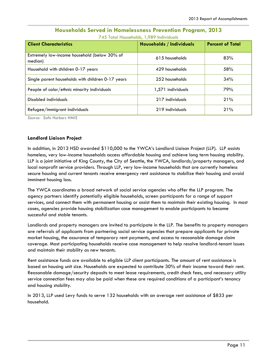| <b>Client Characteristics</b>                           | <b>Households / Individuals</b> | <b>Percent of Total</b> |
|---------------------------------------------------------|---------------------------------|-------------------------|
| Extremely low-income household (below 30% of<br>median) | 615 households                  | 83%                     |
| Household with children 0-17 years                      | 429 households                  | 58%                     |
| Single parent households with children 0-17 years       | 252 households                  | 34%                     |
| People of color/ethnic minority individuals             | 1,571 individuals               | 79%                     |
| Disabled individuals                                    | 217 individuals                 | 21%                     |
| Refugee/immigrant individuals                           | 219 individuals                 | 21%                     |

#### **Households Served in Homelessness Prevention Program, 2013** 745 Total Households, 1,989 Individuals

*Source: Safe Harbors HMIS*

#### **Landlord Liaison Project**

In addition, in 2013 HSD awarded \$110,000 to the YWCA's Landlord Liaison Project (LLP). LLP assists homeless, very low-income households access affordable housing and achieve long term housing stability. LLP is a joint initiative of King County, the City of Seattle, the YWCA, landlords/property managers, and local nonprofit service providers. Through LLP, very low-income households that are currently homeless secure housing and current tenants receive emergency rent assistance to stabilize their housing and avoid imminent housing loss.

The YWCA coordinates a broad network of social service agencies who offer the LLP program. The agency partners identify potentially eligible households, screen participants for a range of support services, and connect them with permanent housing or assist them to maintain their existing housing. In most cases, agencies provide housing stabilization case management to enable participants to become successful and stable tenants.

Landlords and property managers are invited to participate in the LLP. The benefits to property managers are referrals of applicants from partnering social service agencies that prepare applicants for private market housing, the assurance of temporary rent payments, and access to reasonable damage claim coverage. Most participating households receive case management to help resolve landlord-tenant issues and maintain their stability as new tenants.

Rent assistance funds are available to eligible LLP client participants. The amount of rent assistance is based on housing unit size. Households are expected to contribute 30% of their income toward their rent. Reasonable damage/security deposits to meet lease requirements, credit check fees, and necessary utility service connection fees may also be paid when these are required conditions of a participant's tenancy and housing stability.

In 2013, LLP used Levy funds to serve 132 households with an average rent assistance of \$833 per household.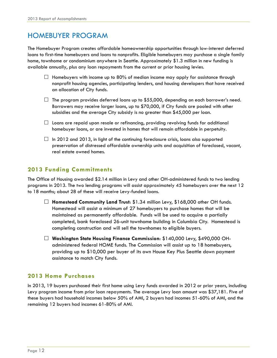# HOMEBUYER PROGRAM

The Homebuyer Program creates affordable homeownership opportunities through low-interest deferred loans to first-time homebuyers and loans to nonprofits. Eligible homebuyers may purchase a single family home, townhome or condominium anywhere in Seattle. Approximately \$1.3 million in new funding is available annually, plus any loan repayments from the current or prior housing levies.

- $\Box$  Homebuyers with income up to 80% of median income may apply for assistance through nonprofit housing agencies, participating lenders, and housing developers that have received an allocation of City funds.
- $\Box$  The program provides deferred loans up to \$55,000, depending on each borrower's need. Borrowers may receive larger loans, up to \$70,000, if City funds are pooled with other subsidies and the average City subsidy is no greater than \$45,000 per loan.
- $\Box$  Loans are repaid upon resale or refinancing, providing revolving funds for additional homebuyer loans, or are invested in homes that will remain affordable in perpetuity.
- $\Box$  In 2012 and 2013, in light of the continuing foreclosure crisis, loans also supported preservation of distressed affordable ownership units and acquisition of foreclosed, vacant, real estate owned homes.

## **2013 Funding Commitments**

The Office of Housing awarded \$2.14 million in Levy and other OH-administered funds to two lending programs in 2013. The two lending programs will assist approximately 45 homebuyers over the next 12 to 18 months; about 28 of these will receive Levy-funded loans.

- **Homestead Community Land Trust**: \$1.34 million Levy, \$168,000 other OH funds. Homestead will assist a minimum of 27 homebuyers to purchase homes that will be maintained as permanently affordable. Funds will be used to acquire a partially completed, bank foreclosed 26-unit townhome building in Columbia City. Homestead is completing construction and will sell the townhomes to eligible buyers.
- **Washington State Housing Finance Commission**: \$140,000 Levy, \$490,000 OHadministered federal HOME funds. The Commission will assist up to 18 homebuyers, providing up to \$10,000 per buyer of its own House Key Plus Seattle down payment assistance to match City funds.

## **2013 Home Purchases**

In 2013, 19 buyers purchased their first home using Levy funds awarded in 2012 or prior years, including Levy program income from prior loan repayments. The average Levy loan amount was \$37,181. Five of these buyers had household incomes below 50% of AMI, 2 buyers had incomes 51-60% of AMI, and the remaining 12 buyers had incomes 61-80% of AMI.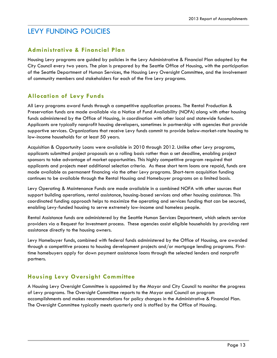# LEVY FUNDING POLICIES

## **Administrative & Financial Plan**

Housing Levy programs are guided by policies in the Levy Administrative & Financial Plan adopted by the City Council every two years. The plan is prepared by the Seattle Office of Housing, with the participation of the Seattle Department of Human Services, the Housing Levy Oversight Committee, and the involvement of community members and stakeholders for each of the five Levy programs.

## **Allocation of Levy Funds**

All Levy programs award funds through a competitive application process. The Rental Production & Preservation funds are made available via a Notice of Fund Availability (NOFA) along with other housing funds administered by the Office of Housing, in coordination with other local and statewide funders. Applicants are typically nonprofit housing developers, sometimes in partnership with agencies that provide supportive services. Organizations that receive Levy funds commit to provide below-market-rate housing to low-income households for at least 50 years.

Acquisition & Opportunity Loans were available in 2010 through 2012. Unlike other Levy programs, applicants submitted project proposals on a rolling basis rather than a set deadline, enabling project sponsors to take advantage of market opportunities. This highly competitive program required that applicants and projects meet additional selection criteria. As these short term loans are repaid, funds are made available as permanent financing via the other Levy programs. Short-term acquisition funding continues to be available through the Rental Housing and Homebuyer programs on a limited basis.

Levy Operating & Maintenance Funds are made available in a combined NOFA with other sources that support building operations, rental assistance, housing-based services and other housing assistance. This coordinated funding approach helps to maximize the operating and services funding that can be secured, enabling Levy-funded housing to serve extremely low-income and homeless people.

Rental Assistance funds are administered by the Seattle Human Services Department, which selects service providers via a Request for Investment process. These agencies assist eligible households by providing rent assistance directly to the housing owners.

Levy Homebuyer funds, combined with federal funds administered by the Office of Housing, are awarded through a competitive process to housing development projects and/or mortgage lending programs. Firsttime homebuyers apply for down payment assistance loans through the selected lenders and nonprofit partners.

# **Housing Levy Oversight Committee**

A Housing Levy Oversight Committee is appointed by the Mayor and City Council to monitor the progress of Levy programs. The Oversight Committee reports to the Mayor and Council on program accomplishments and makes recommendations for policy changes in the Administrative & Financial Plan. The Oversight Committee typically meets quarterly and is staffed by the Office of Housing.